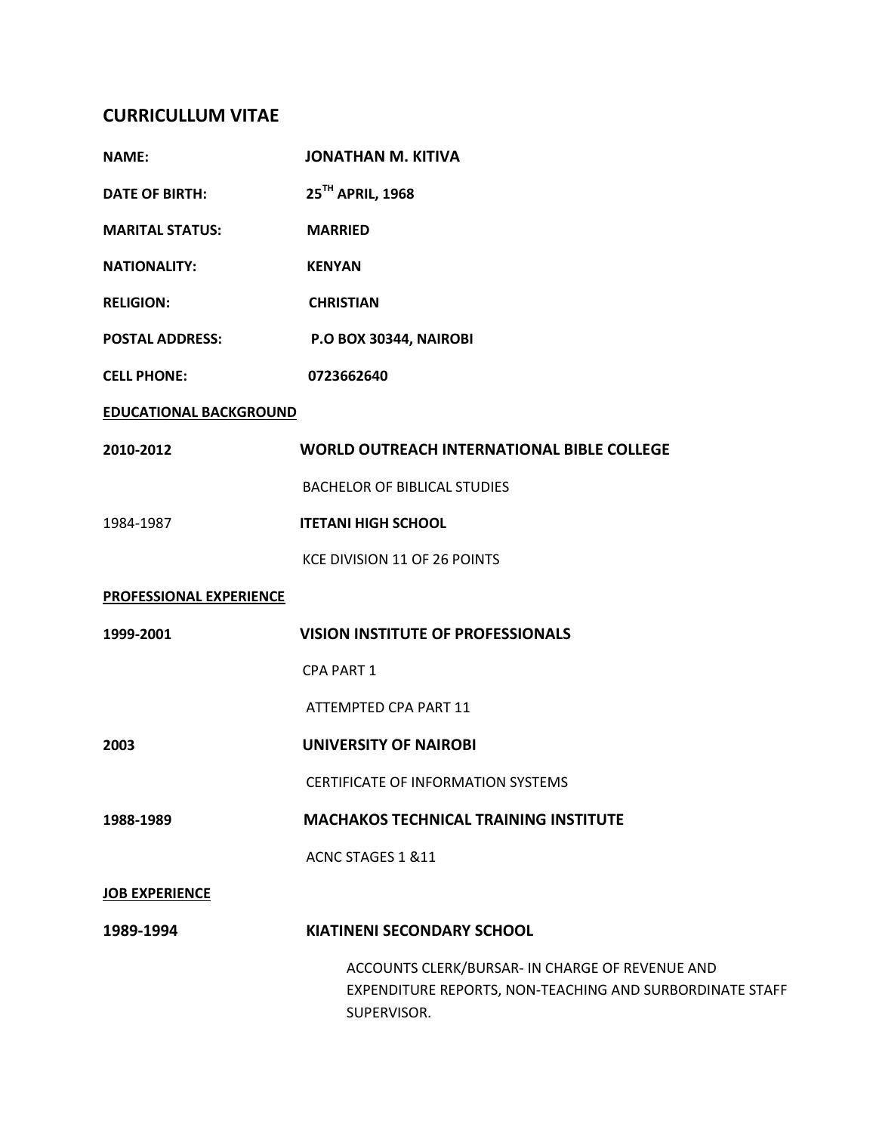## **CURRICULLUM VITAE**

| <b>NAME:</b>                  | <b>JONATHAN M. KITIVA</b>                                                                                                  |
|-------------------------------|----------------------------------------------------------------------------------------------------------------------------|
| <b>DATE OF BIRTH:</b>         | 25 <sup>TH</sup> APRIL, 1968                                                                                               |
| <b>MARITAL STATUS:</b>        | <b>MARRIED</b>                                                                                                             |
| <b>NATIONALITY:</b>           | <b>KENYAN</b>                                                                                                              |
| <b>RELIGION:</b>              | <b>CHRISTIAN</b>                                                                                                           |
| <b>POSTAL ADDRESS:</b>        | P.O BOX 30344, NAIROBI                                                                                                     |
| <b>CELL PHONE:</b>            | 0723662640                                                                                                                 |
| <b>EDUCATIONAL BACKGROUND</b> |                                                                                                                            |
| 2010-2012                     | <b>WORLD OUTREACH INTERNATIONAL BIBLE COLLEGE</b>                                                                          |
|                               | <b>BACHELOR OF BIBLICAL STUDIES</b>                                                                                        |
| 1984-1987                     | <b>ITETANI HIGH SCHOOL</b>                                                                                                 |
|                               | KCE DIVISION 11 OF 26 POINTS                                                                                               |
| PROFESSIONAL EXPERIENCE       |                                                                                                                            |
| 1999-2001                     | <b>VISION INSTITUTE OF PROFESSIONALS</b>                                                                                   |
|                               | <b>CPA PART 1</b>                                                                                                          |
|                               | ATTEMPTED CPA PART 11                                                                                                      |
| 2003                          | <b>UNIVERSITY OF NAIROBI</b>                                                                                               |
|                               | CERTIFICATE OF INFORMATION SYSTEMS                                                                                         |
| 1988-1989                     | <b>MACHAKOS TECHNICAL TRAINING INSTITUTE</b>                                                                               |
|                               | ACNC STAGES 1 & 11                                                                                                         |
| <b>JOB EXPERIENCE</b>         |                                                                                                                            |
| 1989-1994                     | <b>KIATINENI SECONDARY SCHOOL</b>                                                                                          |
|                               | ACCOUNTS CLERK/BURSAR- IN CHARGE OF REVENUE AND<br>EXPENDITURE REPORTS, NON-TEACHING AND SURBORDINATE STAFF<br>SUPERVISOR. |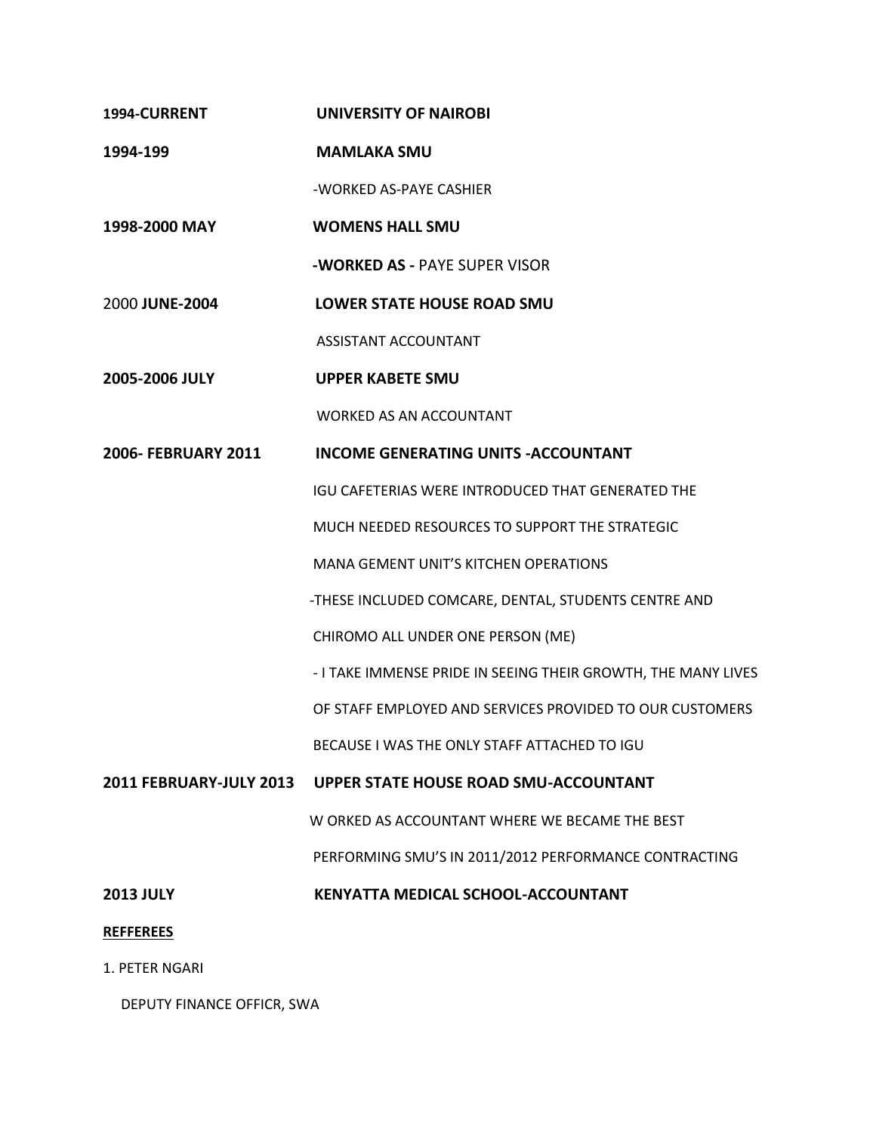**1994-CURRENT UNIVERSITY OF NAIROBI 1994-199 MAMLAKA SMU** -WORKED AS-PAYE CASHIER **1998-2000 MAY WOMENS HALL SMU -WORKED AS -** PAYE SUPER VISOR 2000 **JUNE-2004 LOWER STATE HOUSE ROAD SMU** ASSISTANT ACCOUNTANT **2005-2006 JULY UPPER KABETE SMU** WORKED AS AN ACCOUNTANT **2006- FEBRUARY 2011 INCOME GENERATING UNITS -ACCOUNTANT**  IGU CAFETERIAS WERE INTRODUCED THAT GENERATED THE MUCH NEEDED RESOURCES TO SUPPORT THE STRATEGIC MANA GEMENT UNIT'S KITCHEN OPERATIONS -THESE INCLUDED COMCARE, DENTAL, STUDENTS CENTRE AND CHIROMO ALL UNDER ONE PERSON (ME) - I TAKE IMMENSE PRIDE IN SEEING THEIR GROWTH, THE MANY LIVES OF STAFF EMPLOYED AND SERVICES PROVIDED TO OUR CUSTOMERS BECAUSE I WAS THE ONLY STAFF ATTACHED TO IGU **2011 FEBRUARY-JULY 2013 UPPER STATE HOUSE ROAD SMU-ACCOUNTANT** W ORKED AS ACCOUNTANT WHERE WE BECAME THE BEST PERFORMING SMU'S IN 2011/2012 PERFORMANCE CONTRACTING **2013 JULY KENYATTA MEDICAL SCHOOL-ACCOUNTANT REFFEREES** 1. PETER NGARI

DEPUTY FINANCE OFFICR, SWA